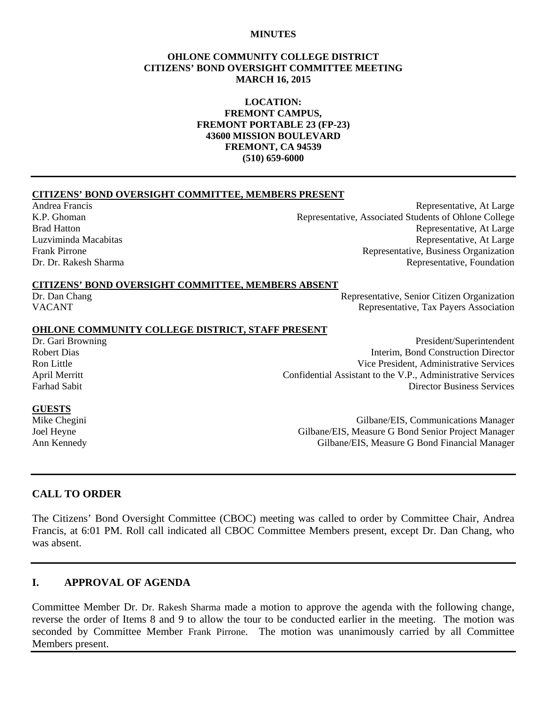#### **MINUTES**

#### **OHLONE COMMUNITY COLLEGE DISTRICT CITIZENS' BOND OVERSIGHT COMMITTEE MEETING MARCH 16, 2015**

#### **LOCATION: FREMONT CAMPUS, FREMONT PORTABLE 23 (FP-23) 43600 MISSION BOULEVARD FREMONT, CA 94539 (510) 659-6000**

#### **CITIZENS' BOND OVERSIGHT COMMITTEE, MEMBERS PRESENT**

Andrea Francis Representative, At Large K.P. Ghoman Representative, Associated Students of Ohlone College Brad Hatton **Representative, At Large** Luzviminda Macabitas Representative, At Large Frank Pirrone Representative, Business Organization Dr. Dr. Rakesh Sharma Representative, Foundation

#### **CITIZENS' BOND OVERSIGHT COMMITTEE, MEMBERS ABSENT**

Dr. Dan Chang Representative, Senior Citizen Organization VACANT VACANT

# **OHLONE COMMUNITY COLLEGE DISTRICT, STAFF PRESENT**

President/Superintendent Robert Dias Interim, Bond Construction Director Ron Little **No. 2. In the Contract of Contract Contract Contract Contract Contract Contract Contract Contract Contract Contract Vice President, Administrative Services** April Merritt<br>
Confidential Assistant to the V.P., Administrative Services<br>
Director Business Services **Director Business Services** 

#### **GUESTS**

Mike Chegini Gilbane/EIS, Communications Manager Joel Heyne Gilbane/EIS, Measure G Bond Senior Project Manager<br>Ann Kennedy Gilbane/EIS, Measure G Bond Financial Manager Gilbane/EIS, Measure G Bond Financial Manager

#### **CALL TO ORDER**

The Citizens' Bond Oversight Committee (CBOC) meeting was called to order by Committee Chair, Andrea Francis, at 6:01 PM. Roll call indicated all CBOC Committee Members present, except Dr. Dan Chang, who was absent.

## **I. APPROVAL OF AGENDA**

Committee Member Dr. Dr. Rakesh Sharma made a motion to approve the agenda with the following change, reverse the order of Items 8 and 9 to allow the tour to be conducted earlier in the meeting. The motion was seconded by Committee Member Frank Pirrone. The motion was unanimously carried by all Committee Members present.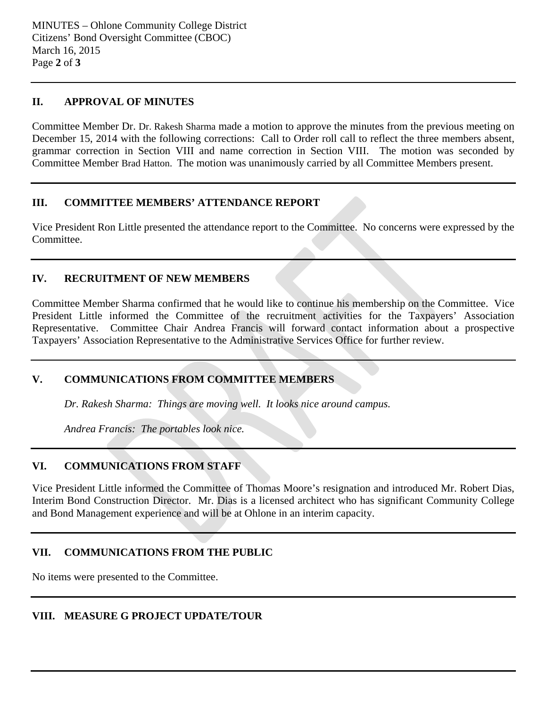## **II. APPROVAL OF MINUTES**

Committee Member Dr. Dr. Rakesh Sharma made a motion to approve the minutes from the previous meeting on December 15, 2014 with the following corrections: Call to Order roll call to reflect the three members absent, grammar correction in Section VIII and name correction in Section VIII. The motion was seconded by Committee Member Brad Hatton. The motion was unanimously carried by all Committee Members present.

## **III. COMMITTEE MEMBERS' ATTENDANCE REPORT**

Vice President Ron Little presented the attendance report to the Committee. No concerns were expressed by the Committee.

## **IV. RECRUITMENT OF NEW MEMBERS**

Committee Member Sharma confirmed that he would like to continue his membership on the Committee. Vice President Little informed the Committee of the recruitment activities for the Taxpayers' Association Representative. Committee Chair Andrea Francis will forward contact information about a prospective Taxpayers' Association Representative to the Administrative Services Office for further review.

# **V. COMMUNICATIONS FROM COMMITTEE MEMBERS**

*Dr. Rakesh Sharma: Things are moving well. It looks nice around campus.* 

*Andrea Francis: The portables look nice.* 

# **VI. COMMUNICATIONS FROM STAFF**

Vice President Little informed the Committee of Thomas Moore's resignation and introduced Mr. Robert Dias, Interim Bond Construction Director. Mr. Dias is a licensed architect who has significant Community College and Bond Management experience and will be at Ohlone in an interim capacity.

# **VII. COMMUNICATIONS FROM THE PUBLIC**

No items were presented to the Committee.

# **VIII. MEASURE G PROJECT UPDATE/TOUR**